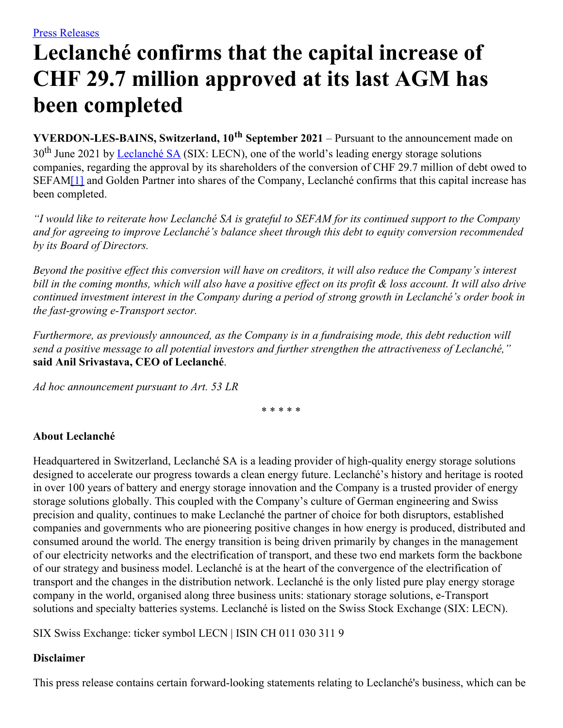## **Leclanché confirms that the capital increase of CHF 29.7 million approved at its last AGM has been completed**

**YVERDON-LES-BAINS, Switzerland, 10 th September 2021** – Pursuant to the announcement made on 30<sup>th</sup> June 2021 by [Leclanché](http://www.leclanche.com/) SA (SIX: LECN), one of the world's leading energy storage solutions companies, regarding the approval by its shareholders of the conversion of CHF 29.7 million of debt owed to SEFA[M\[1\]](#page-1-0) and Golden Partner into shares of the Company, Leclanché confirms that this capital increase has been completed.

<span id="page-0-0"></span>"I would like to reiterate how Leclanché SA is grateful to SEFAM for its continued support to the Company *and for agreeing to improve Leclanché's balance sheet through this debt to equity conversion recommended by its Board of Directors.*

Beyond the positive effect this conversion will have on creditors, it will also reduce the Company's interest bill in the coming months, which will also have a positive effect on its profit & loss account. It will also drive continued investment interest in the Company during a period of strong growth in Leclanché's order book in *the fast-growing e-Transport sector.*

*Furthermore, as previously announced, as the Company is in a fundraising mode, this debt reduction will send a positive message to all potential investors and further strengthen the attractiveness of Leclanché,"* **said Anil Srivastava, CEO of Leclanché**.

*Ad hoc announcement pursuant to Art. 53 LR*

\* \* \* \* \*

## **About Leclanché**

Headquartered in Switzerland, Leclanché SA is a leading provider of high-quality energy storage solutions designed to accelerate our progress towards a clean energy future. Leclanché's history and heritage is rooted in over 100 years of battery and energy storage innovation and the Company is a trusted provider of energy storage solutions globally. This coupled with the Company's culture of German engineering and Swiss precision and quality, continues to make Leclanché the partner of choice for both disruptors, established companies and governments who are pioneering positive changes in how energy is produced, distributed and consumed around the world. The energy transition is being driven primarily by changes in the management of our electricity networks and the electrification of transport, and these two end markets form the backbone of our strategy and business model. Leclanché is at the heart of the convergence of the electrification of transport and the changes in the distribution network. Leclanché is the only listed pure play energy storage company in the world, organised along three business units: stationary storage solutions, e-Transport solutions and specialty batteries systems. Leclanché is listed on the Swiss Stock Exchange (SIX: LECN).

SIX Swiss Exchange: ticker symbol LECN | ISIN CH 011 030 311 9

## **Disclaimer**

This press release contains certain forward-looking statements relating to Leclanché's business, which can be